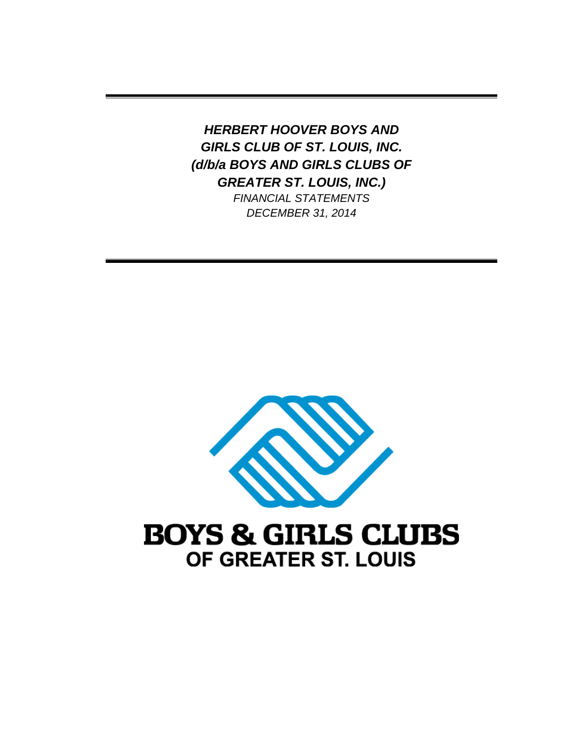*HERBERT HOOVER BOYS AND GIRLS CLUB OF ST. LOUIS, INC. (d/b/a BOYS AND GIRLS CLUBS OF GREATER ST. LOUIS, INC.)* 

*FINANCIAL STATEMENTS DECEMBER 31, 2014* 



# **BOYS & GIRLS CLUBS** OF GREATER ST. LOUIS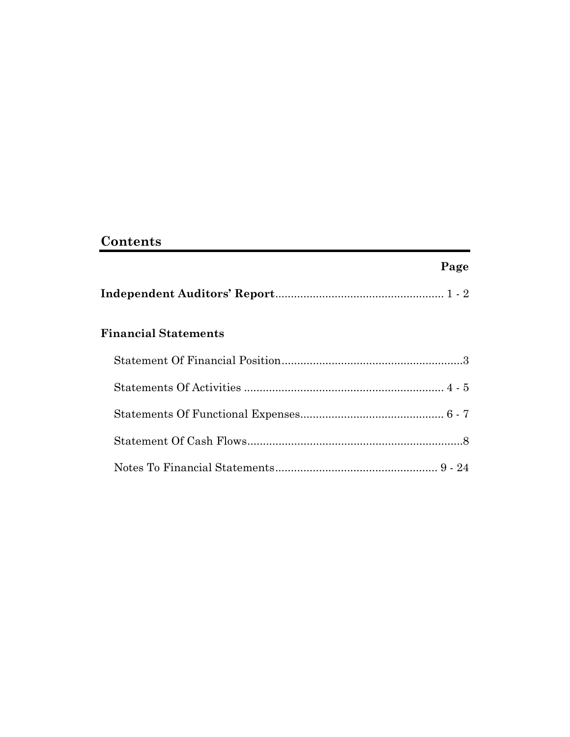# **Contents**

# **Page**

|--|--|

# **Financial Statements**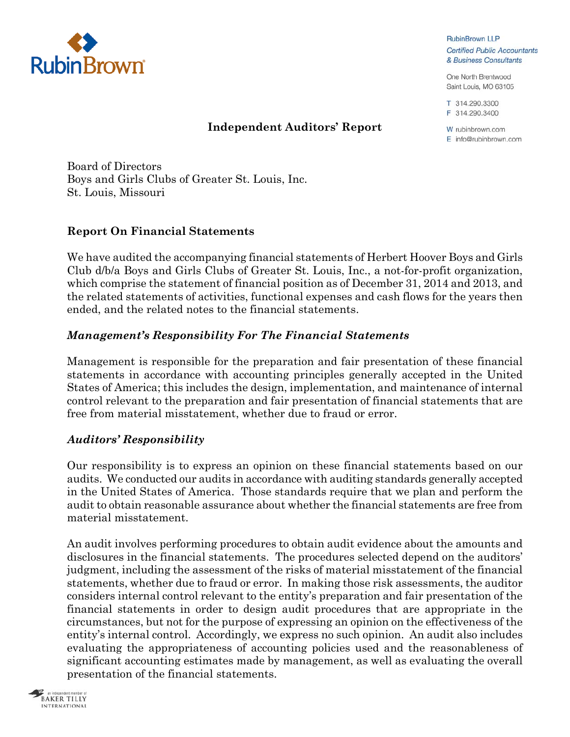

**RubinBrown LLP Certified Public Accountants** & Business Consultants

One North Brentwood Saint Louis, MO 63105

T 314.290.3300 F 314.290.3400

W rubinbrown.com E info@rubinbrown.com

### **Independent Auditors' Report**

Board of Directors Boys and Girls Clubs of Greater St. Louis, Inc. St. Louis, Missouri

# **Report On Financial Statements**

We have audited the accompanying financial statements of Herbert Hoover Boys and Girls Club d/b/a Boys and Girls Clubs of Greater St. Louis, Inc., a not-for-profit organization, which comprise the statement of financial position as of December 31, 2014 and 2013, and the related statements of activities, functional expenses and cash flows for the years then ended, and the related notes to the financial statements.

# *Management's Responsibility For The Financial Statements*

Management is responsible for the preparation and fair presentation of these financial statements in accordance with accounting principles generally accepted in the United States of America; this includes the design, implementation, and maintenance of internal control relevant to the preparation and fair presentation of financial statements that are free from material misstatement, whether due to fraud or error.

# *Auditors' Responsibility*

Our responsibility is to express an opinion on these financial statements based on our audits. We conducted our audits in accordance with auditing standards generally accepted in the United States of America. Those standards require that we plan and perform the audit to obtain reasonable assurance about whether the financial statements are free from material misstatement.

An audit involves performing procedures to obtain audit evidence about the amounts and disclosures in the financial statements. The procedures selected depend on the auditors' judgment, including the assessment of the risks of material misstatement of the financial statements, whether due to fraud or error. In making those risk assessments, the auditor considers internal control relevant to the entity's preparation and fair presentation of the financial statements in order to design audit procedures that are appropriate in the circumstances, but not for the purpose of expressing an opinion on the effectiveness of the entity's internal control. Accordingly, we express no such opinion. An audit also includes evaluating the appropriateness of accounting policies used and the reasonableness of significant accounting estimates made by management, as well as evaluating the overall presentation of the financial statements.

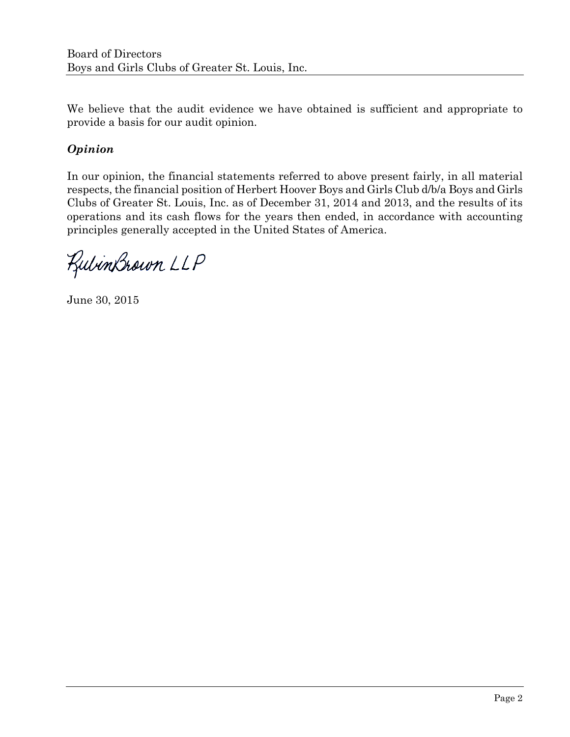We believe that the audit evidence we have obtained is sufficient and appropriate to provide a basis for our audit opinion.

# *Opinion*

In our opinion, the financial statements referred to above present fairly, in all material respects, the financial position of Herbert Hoover Boys and Girls Club d/b/a Boys and Girls Clubs of Greater St. Louis, Inc. as of December 31, 2014 and 2013, and the results of its operations and its cash flows for the years then ended, in accordance with accounting principles generally accepted in the United States of America.

RubinBrown LLP

June 30, 2015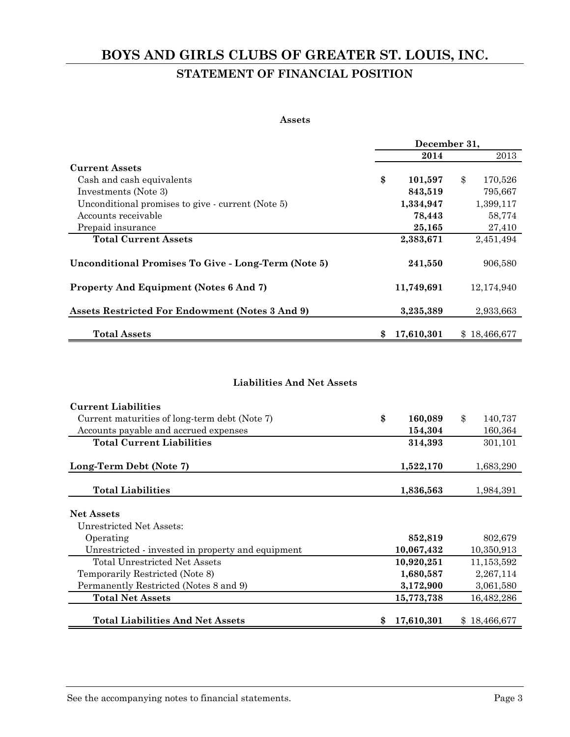# **BOYS AND GIRLS CLUBS OF GREATER ST. LOUIS, INC. STATEMENT OF FINANCIAL POSITION**

#### **Assets**

|                                                            |                  | December 31,  |
|------------------------------------------------------------|------------------|---------------|
|                                                            | 2014             | 2013          |
| <b>Current Assets</b>                                      |                  |               |
| Cash and cash equivalents                                  | \$<br>101,597    | \$<br>170,526 |
| Investments (Note 3)                                       | 843,519          | 795,667       |
| Unconditional promises to give - current (Note 5)          | 1,334,947        | 1,399,117     |
| Accounts receivable                                        | 78,443           | 58,774        |
| Prepaid insurance                                          | 25,165           | 27,410        |
| <b>Total Current Assets</b>                                | 2,383,671        | 2,451,494     |
| <b>Unconditional Promises To Give - Long-Term (Note 5)</b> | 241,550          | 906,580       |
| <b>Property And Equipment (Notes 6 And 7)</b>              | 11,749,691       | 12,174,940    |
| Assets Restricted For Endowment (Notes 3 And 9)            | 3,235,389        | 2,933,663     |
| <b>Total Assets</b>                                        | 17,610,301<br>\$ | \$18,466,677  |

#### **Liabilities And Net Assets**

| <b>Current Liabilities</b>                        |                  |               |              |
|---------------------------------------------------|------------------|---------------|--------------|
| Current maturities of long-term debt (Note 7)     | \$<br>160,089    | $\mathbf{\$}$ | 140,737      |
| Accounts payable and accrued expenses             | 154,304          |               | 160,364      |
| <b>Total Current Liabilities</b>                  | 314,393          |               | 301,101      |
| Long-Term Debt (Note 7)                           | 1,522,170        |               | 1,683,290    |
| <b>Total Liabilities</b>                          | 1,836,563        |               | 1,984,391    |
| <b>Net Assets</b>                                 |                  |               |              |
| Unrestricted Net Assets:                          |                  |               |              |
| Operating                                         | 852,819          |               | 802,679      |
| Unrestricted - invested in property and equipment | 10,067,432       |               | 10,350,913   |
| Total Unrestricted Net Assets                     | 10,920,251       |               | 11, 153, 592 |
| Temporarily Restricted (Note 8)                   | 1,680,587        |               | 2,267,114    |
| Permanently Restricted (Notes 8 and 9)            | 3,172,900        |               | 3,061,580    |
| <b>Total Net Assets</b>                           | 15,773,738       |               | 16,482,286   |
| <b>Total Liabilities And Net Assets</b>           | \$<br>17,610,301 |               | \$18,466,677 |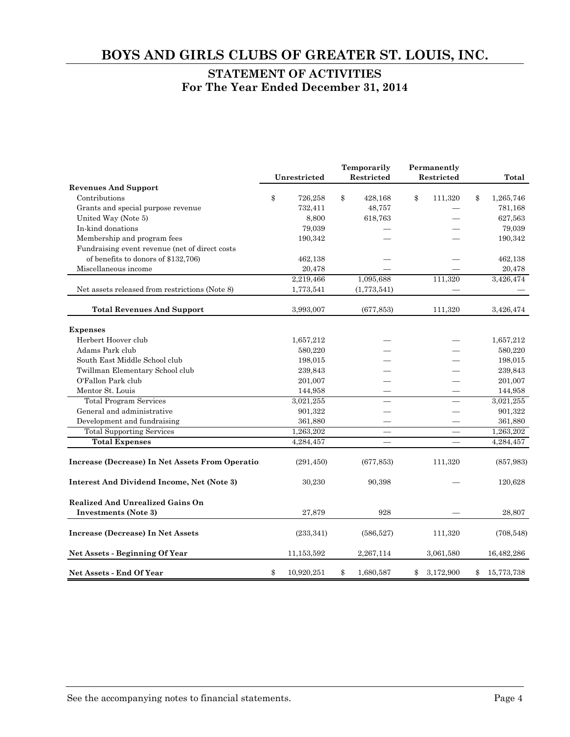### **STATEMENT OF ACTIVITIES For The Year Ended December 31, 2014**

|                                                   |    | Unrestricted | Temporarily<br>Restricted |    | Permanently<br>Restricted | Total            |
|---------------------------------------------------|----|--------------|---------------------------|----|---------------------------|------------------|
| <b>Revenues And Support</b>                       |    |              |                           |    |                           |                  |
| Contributions                                     | \$ | 726,258      | \$<br>428,168             | \$ | 111,320                   | \$<br>1,265,746  |
| Grants and special purpose revenue                |    | 732,411      | 48,757                    |    |                           | 781,168          |
| United Way (Note 5)                               |    | 8,800        | 618,763                   |    |                           | 627,563          |
| In-kind donations                                 |    | 79,039       |                           |    |                           | 79,039           |
| Membership and program fees                       |    | 190,342      |                           |    |                           | 190,342          |
| Fundraising event revenue (net of direct costs    |    |              |                           |    |                           |                  |
| of benefits to donors of \$132,706)               |    | 462,138      |                           |    |                           | 462,138          |
| Miscellaneous income                              |    | 20,478       |                           |    |                           | 20,478           |
|                                                   |    | 2,219,466    | 1,095,688                 |    | 111,320                   | 3,426,474        |
| Net assets released from restrictions (Note 8)    |    | 1,773,541    | (1,773,541)               |    |                           |                  |
| <b>Total Revenues And Support</b>                 |    | 3,993,007    | (677, 853)                |    | 111,320                   | 3,426,474        |
| <b>Expenses</b>                                   |    |              |                           |    |                           |                  |
| Herbert Hoover club                               |    | 1,657,212    |                           |    |                           | 1,657,212        |
| Adams Park club                                   |    | 580,220      |                           |    |                           | 580,220          |
| South East Middle School club                     |    | 198,015      |                           |    |                           | 198,015          |
| Twillman Elementary School club                   |    | 239,843      |                           |    |                           | 239,843          |
| O'Fallon Park club                                |    | 201,007      |                           |    |                           | 201,007          |
| Mentor St. Louis                                  |    | 144,958      |                           |    |                           | 144,958          |
| <b>Total Program Services</b>                     |    | 3,021,255    |                           |    |                           | 3,021,255        |
| General and administrative                        |    | 901,322      |                           |    |                           | 901,322          |
| Development and fundraising                       |    | 361,880      |                           |    |                           | 361,880          |
| <b>Total Supporting Services</b>                  |    | 1,263,202    |                           |    |                           | 1,263,202        |
| <b>Total Expenses</b>                             |    | 4,284,457    |                           |    |                           | 4,284,457        |
| Increase (Decrease) In Net Assets From Operation  |    | (291, 450)   | (677, 853)                |    | 111,320                   | (857, 983)       |
| <b>Interest And Dividend Income, Net (Note 3)</b> |    | 30,230       | 90,398                    |    |                           | 120,628          |
| <b>Realized And Unrealized Gains On</b>           |    |              |                           |    |                           |                  |
| <b>Investments</b> (Note 3)                       |    | 27,879       | 928                       |    |                           | 28,807           |
| Increase (Decrease) In Net Assets                 |    | (233, 341)   | (586, 527)                |    | 111,320                   | (708, 548)       |
| Net Assets - Beginning Of Year                    |    | 11,153,592   | 2,267,114                 |    | 3,061,580                 | 16,482,286       |
| <b>Net Assets - End Of Year</b>                   | \$ | 10,920,251   | \$<br>1,680,587           | \$ | 3,172,900                 | \$<br>15,773,738 |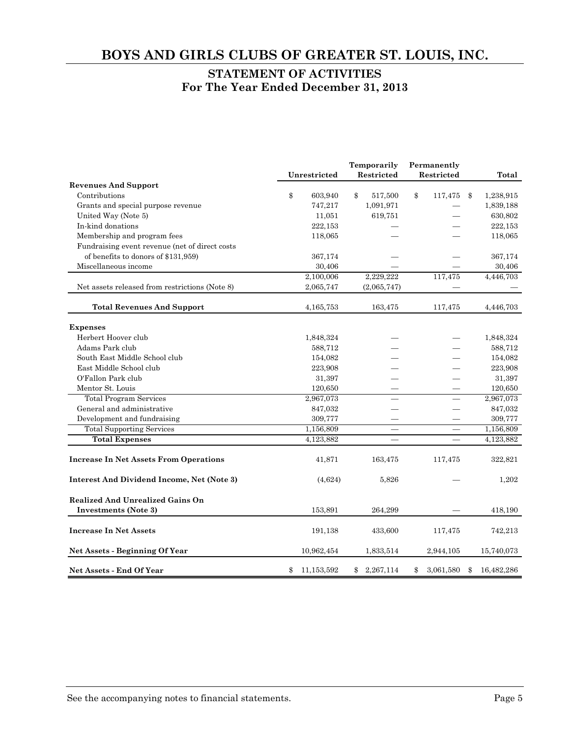### **STATEMENT OF ACTIVITIES For The Year Ended December 31, 2013**

|                                                   | Unrestricted     |    | Temporarily<br>Restricted |    | Permanently<br>Restricted |            | Total      |
|---------------------------------------------------|------------------|----|---------------------------|----|---------------------------|------------|------------|
| <b>Revenues And Support</b>                       |                  |    |                           |    |                           |            |            |
| Contributions                                     | \$<br>603,940    | \$ | 517,500                   | \$ | 117,475                   | $\pmb{\$}$ | 1,238,915  |
| Grants and special purpose revenue                | 747,217          |    | 1,091,971                 |    |                           |            | 1,839,188  |
| United Way (Note 5)                               | 11,051           |    | 619,751                   |    |                           |            | 630,802    |
| In-kind donations                                 | 222,153          |    |                           |    |                           |            | 222,153    |
| Membership and program fees                       | 118,065          |    |                           |    |                           |            | 118,065    |
| Fundraising event revenue (net of direct costs    |                  |    |                           |    |                           |            |            |
| of benefits to donors of \$131,959)               | 367,174          |    |                           |    |                           |            | 367,174    |
| Miscellaneous income                              | 30,406           |    |                           |    |                           |            | 30,406     |
|                                                   | 2,100,006        |    | 2,229,222                 |    | 117,475                   |            | 4,446,703  |
| Net assets released from restrictions (Note 8)    | 2,065,747        |    | (2,065,747)               |    |                           |            |            |
| <b>Total Revenues And Support</b>                 | 4,165,753        |    | 163,475                   |    | 117,475                   |            | 4,446,703  |
| <b>Expenses</b>                                   |                  |    |                           |    |                           |            |            |
| Herbert Hoover club                               | 1,848,324        |    |                           |    |                           |            | 1,848,324  |
| Adams Park club                                   | 588,712          |    |                           |    |                           |            | 588,712    |
| South East Middle School club                     | 154,082          |    |                           |    |                           |            | 154,082    |
| East Middle School club                           | 223,908          |    |                           |    |                           |            | 223,908    |
| O'Fallon Park club                                | 31,397           |    |                           |    |                           |            | 31,397     |
| Mentor St. Louis                                  | 120,650          |    |                           |    |                           |            | 120,650    |
| <b>Total Program Services</b>                     | 2,967,073        |    |                           |    |                           |            | 2,967,073  |
| General and administrative                        | 847,032          |    |                           |    |                           |            | 847,032    |
| Development and fundraising                       | 309,777          |    |                           |    |                           |            | 309,777    |
| <b>Total Supporting Services</b>                  | 1,156,809        |    |                           |    |                           |            | 1,156,809  |
| <b>Total Expenses</b>                             | 4,123,882        |    |                           |    |                           |            | 4,123,882  |
| <b>Increase In Net Assets From Operations</b>     | 41,871           |    | 163,475                   |    | 117,475                   |            | 322,821    |
| <b>Interest And Dividend Income, Net (Note 3)</b> | (4,624)          |    | 5,826                     |    |                           |            | 1,202      |
| <b>Realized And Unrealized Gains On</b>           |                  |    |                           |    |                           |            |            |
| <b>Investments (Note 3)</b>                       | 153,891          |    | 264,299                   |    |                           |            | 418,190    |
| <b>Increase In Net Assets</b>                     | 191,138          |    | 433,600                   |    | 117,475                   |            | 742,213    |
| Net Assets - Beginning Of Year                    | 10,962,454       |    | 1,833,514                 |    | 2,944,105                 |            | 15,740,073 |
| <b>Net Assets - End Of Year</b>                   | \$<br>11,153,592 | \$ | 2,267,114                 | \$ | 3,061,580                 | \$         | 16,482,286 |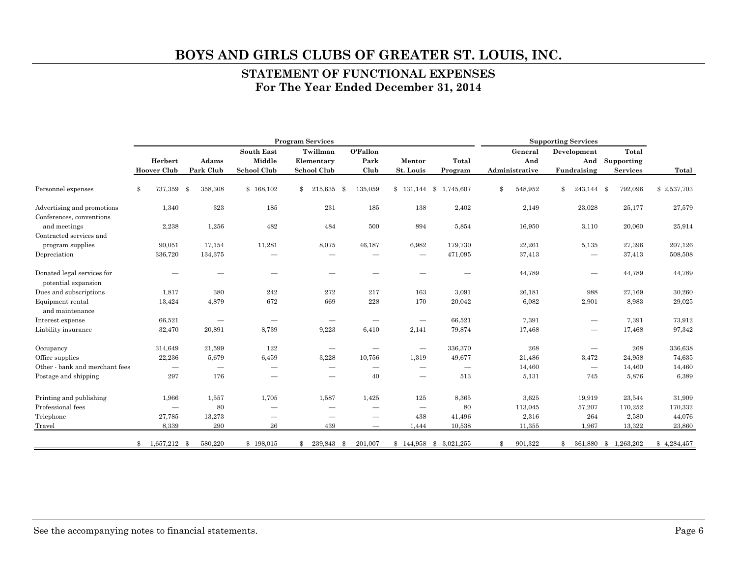#### **STATEMENT OF FUNCTIONAL EXPENSES For The Year Ended December 31, 2014**

|                                                        | <b>Program Services</b>       |                          |                             |                                 |                          |                                 | <b>Supporting Services</b> |                |                                 |                           |             |
|--------------------------------------------------------|-------------------------------|--------------------------|-----------------------------|---------------------------------|--------------------------|---------------------------------|----------------------------|----------------|---------------------------------|---------------------------|-------------|
|                                                        | Herbert                       | Adams                    | <b>South East</b><br>Middle | Twillman<br>Elementary          | O'Fallon<br>Park         | Mentor                          | Total                      | General<br>And | Development<br>And              | Total<br>Supporting       |             |
|                                                        | <b>Hoover Club</b>            | Park Club                | School Club                 | <b>School Club</b>              | Club                     | St. Louis                       | Program                    | Administrative | Fundraising                     | <b>Services</b>           | Total       |
| Personnel expenses                                     | 737,359<br>\$                 | \$<br>358,308            | \$168,102                   | \$<br>215,635 \$                | 135,059                  |                                 | 1,745,607                  | \$<br>548,952  | \$<br>243,144 \$                | 792,096                   | \$2,537,703 |
| Advertising and promotions<br>Conferences, conventions | 1,340                         | 323                      | 185                         | 231                             | 185                      | 138                             | 2,402                      | 2,149          | 23,028                          | 25,177                    | 27,579      |
| and meetings                                           | 2,238                         | 1,256                    | 482                         | 484                             | 500                      | 894                             | 5,854                      | 16,950         | 3,110                           | 20,060                    | 25,914      |
| Contracted services and<br>program supplies            | 90,051                        | 17,154                   | 11,281                      | 8,075                           | 46,187                   | 6,982                           | 179,730                    | 22,261         | 5,135                           | 27,396                    | 207,126     |
| Depreciation                                           | 336,720                       | 134,375                  |                             | $\sim$                          |                          | $\hspace{0.1mm}-\hspace{0.1mm}$ | 471,095                    | 37,413         | $\hspace{0.1mm}-\hspace{0.1mm}$ | 37,413                    | 508,508     |
| Donated legal services for<br>potential expansion      |                               |                          |                             | $\sim$                          |                          |                                 |                            | 44,789         | $\sim$                          | 44,789                    | 44,789      |
| Dues and subscriptions                                 | 1,817                         | 380                      | 242                         | 272                             | 217                      | 163                             | 3,091                      | 26,181         | 988                             | 27,169                    | 30,260      |
| Equipment rental<br>and maintenance                    | 13,424                        | 4,879                    | 672                         | 669                             | 228                      | 170                             | 20,042                     | 6,082          | 2,901                           | 8,983                     | 29,025      |
| Interest expense                                       | 66,521                        |                          |                             | $\qquad \qquad$                 |                          |                                 | 66,521                     | 7,391          |                                 | 7,391                     | 73,912      |
| Liability insurance                                    | 32,470                        | 20,891                   | 8,739                       | 9,223                           | 6,410                    | 2,141                           | 79,874                     | 17,468         | $\overline{\phantom{m}}$        | 17,468                    | 97,342      |
| Occupancy                                              | 314,649                       | 21,599                   | 122                         | $\hspace{0.1mm}-\hspace{0.1mm}$ | $\overline{\phantom{m}}$ | $\hspace{0.1mm}-\hspace{0.1mm}$ | 336,370                    | 268            | $\overline{\phantom{m}}$        | 268                       | 336,638     |
| Office supplies                                        | 22,236                        | 5,679                    | 6,459                       | 3,228                           | 10,756                   | 1,319                           | 49,677                     | 21,486         | 3,472                           | 24,958                    | 74,635      |
| Other - bank and merchant fees                         |                               | $\overline{\phantom{0}}$ |                             | $\hspace{0.05cm}$               | $\overline{\phantom{m}}$ | $\hspace{0.1mm}-\hspace{0.1mm}$ | $\hspace{0.05cm}$          | 14,460         | $\overline{\phantom{m}}$        | 14,460                    | 14,460      |
| Postage and shipping                                   | $\bf 297$                     | 176                      | $\hspace{0.05cm}$           | $\hspace{0.05cm}$               | 40                       | $\hspace{0.1mm}-\hspace{0.1mm}$ | 513                        | 5,131          | 745                             | 5,876                     | 6,389       |
| Printing and publishing                                | 1,966                         | 1,557                    | 1,705                       | 1,587                           | 1,425                    | 125                             | 8,365                      | 3,625          | 19,919                          | 23,544                    | 31,909      |
| Professional fees                                      |                               | 80                       |                             | $\overline{\phantom{m}}$        |                          | $\hspace{0.1mm}-\hspace{0.1mm}$ | 80                         | 113,045        | 57,207                          | 170,252                   | 170,332     |
| Telephone                                              | 27,785                        | 13,273                   |                             | $\overline{\phantom{m}}$        |                          | 438                             | 41,496                     | 2,316          | 264                             | 2,580                     | 44,076      |
| Travel                                                 | 8,339                         | 290                      | 26                          | 439                             | $\overline{\phantom{m}}$ | 1,444                           | 10,538                     | 11,355         | 1,967                           | 13,322                    | 23,860      |
|                                                        | 1,657,212 \$<br>$\mathbf{\$}$ | 580,220                  | \$198,015                   | 239,843 \$<br>$^{\circ}$        | 201,007                  |                                 | $$144,958$ $$3,021,255$    | 901,322<br>\$  | 361,880<br>\$                   | 1,263,202<br>$\mathbf{s}$ | \$4,284,457 |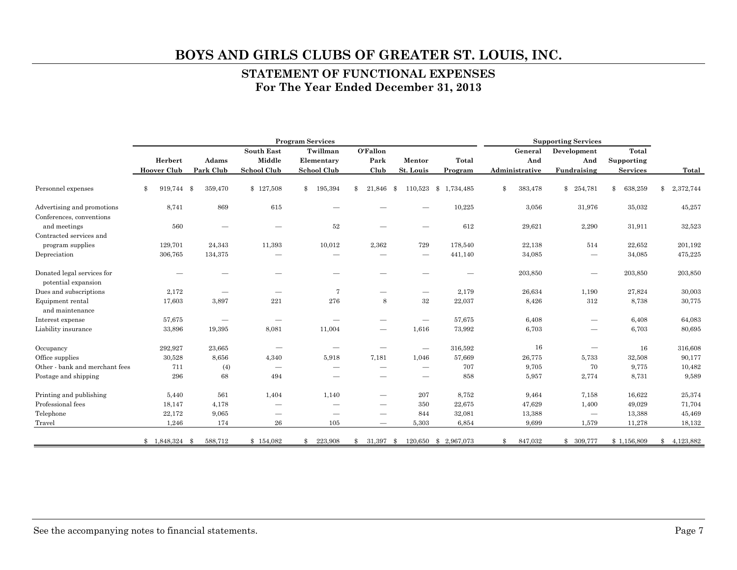#### **STATEMENT OF FUNCTIONAL EXPENSES For The Year Ended December 31, 2013**

|                                                   | <b>Program Services</b> |                          |                               |                                 |                          |                                 | <b>Supporting Services</b> |                |                                 |                 |                 |
|---------------------------------------------------|-------------------------|--------------------------|-------------------------------|---------------------------------|--------------------------|---------------------------------|----------------------------|----------------|---------------------------------|-----------------|-----------------|
|                                                   |                         |                          | <b>South East</b>             | Twillman                        | O'Fallon                 |                                 |                            | General        | Development                     | Total           |                 |
|                                                   | Herbert                 | Adams                    | Middle                        | Elementary                      | Park                     | Mentor                          | Total                      | And            | And                             | Supporting      |                 |
|                                                   | <b>Hoover Club</b>      | Park Club                | School Club                   | <b>School Club</b>              | Club                     | St. Louis                       | Program                    | Administrative | Fundraising                     | <b>Services</b> | Total           |
| Personnel expenses                                | \$<br>919,744           | $\mathbf{\$}$<br>359,470 | \$127,508                     | 195,394<br>\$                   | 21,846<br>\$             | 110,523<br>-8                   | \$1,734,485                | \$<br>383,478  | \$<br>254,781                   | \$<br>638,259   | \$<br>2,372,744 |
| Advertising and promotions                        | 8,741                   | 869                      | 615                           |                                 |                          |                                 | 10,225                     | 3,056          | 31,976                          | 35,032          | 45,257          |
| Conferences, conventions                          |                         |                          |                               |                                 |                          |                                 |                            |                |                                 |                 |                 |
| and meetings                                      | 560                     |                          |                               | 52                              |                          |                                 | 612                        | 29,621         | 2,290                           | 31,911          | 32,523          |
| Contracted services and                           |                         |                          |                               |                                 |                          |                                 |                            |                |                                 |                 |                 |
| program supplies                                  | 129,701                 | 24,343                   | 11,393                        | 10,012                          | 2,362                    | 729                             | 178,540                    | 22,138         | 514                             | 22,652          | 201,192         |
| Depreciation                                      | 306,765                 | 134,375                  | $\sim$                        | $\sim$                          | $\overline{\phantom{a}}$ | $\hspace{0.1mm}-\hspace{0.1mm}$ | 441,140                    | 34,085         | $\hspace{0.1mm}-\hspace{0.1mm}$ | 34,085          | 475,225         |
| Donated legal services for<br>potential expansion |                         |                          |                               |                                 |                          |                                 |                            | 203,850        |                                 | 203,850         | 203,850         |
| Dues and subscriptions                            | 2,172                   | $\sim$                   | $\sim$                        | 7                               |                          |                                 | 2,179                      | 26,634         | 1,190                           | 27,824          | 30,003          |
| Equipment rental<br>and maintenance               | 17,603                  | 3,897                    | 221                           | 276                             | 8                        | $32\,$                          | 22,037                     | 8,426          | 312                             | 8,738           | 30,775          |
|                                                   |                         |                          |                               |                                 |                          |                                 | 57,675                     | 6,408          |                                 | 6,408           |                 |
| Interest expense                                  | 57,675                  | $\overline{\phantom{m}}$ | $\overbrace{\phantom{aaaaa}}$ |                                 |                          | $\hspace{0.05cm}$               |                            |                |                                 |                 | 64,083          |
| Liability insurance                               | 33,896                  | 19,395                   | 8,081                         | 11,004                          | $\overline{\phantom{m}}$ | 1,616                           | 73,992                     | 6,703          |                                 | 6,703           | 80,695          |
| Occupancy                                         | 292,927                 | 23,665                   | $\hspace{0.05cm}$             | $\hspace{0.1mm}-\hspace{0.1mm}$ |                          | $\overline{\phantom{m}}$        | 316,592                    | 16             | $\sim$                          | 16              | 316,608         |
| Office supplies                                   | 30,528                  | 8,656                    | 4,340                         | 5,918                           | 7,181                    | 1,046                           | 57,669                     | 26,775         | 5,733                           | 32,508          | 90,177          |
| Other - bank and merchant fees                    | 711                     | (4)                      | $\hspace{0.05cm}$             | $\qquad \qquad$                 | $\overline{\phantom{a}}$ |                                 | 707                        | 9,705          | 70                              | 9,775           | 10,482          |
| Postage and shipping                              | 296                     | 68                       | 494                           |                                 |                          | $\qquad \qquad$                 | 858                        | 5,957          | 2,774                           | 8,731           | 9,589           |
| Printing and publishing                           | 5,440                   | 561                      | 1,404                         | 1,140                           | $\overline{\phantom{m}}$ | 207                             | 8,752                      | 9,464          | 7,158                           | 16,622          | 25,374          |
| Professional fees                                 | 18,147                  | 4,178                    | $\qquad \qquad$               |                                 | --                       | 350                             | 22,675                     | 47,629         | 1,400                           | 49,029          | 71,704          |
| Telephone                                         | 22,172                  | 9,065                    | $\hspace{0.05cm}$             | $\sim$                          |                          | 844                             | 32,081                     | 13,388         |                                 | 13,388          | 45,469          |
| Travel                                            | 1,246                   | 174                      | 26                            | 105                             | $\qquad \qquad$          | 5,303                           | 6,854                      | 9,699          | 1,579                           | 11,278          | 18,132          |
|                                                   | $$1,848,324$ \$         | 588,712                  | \$154,082                     | 223,908<br>\$                   | 31,397 \$<br>\$          |                                 | 120,650 \$ 2,967,073       | 847,032<br>\$  | \$ 309,777                      | \$1,156,809     | 4,123,882<br>\$ |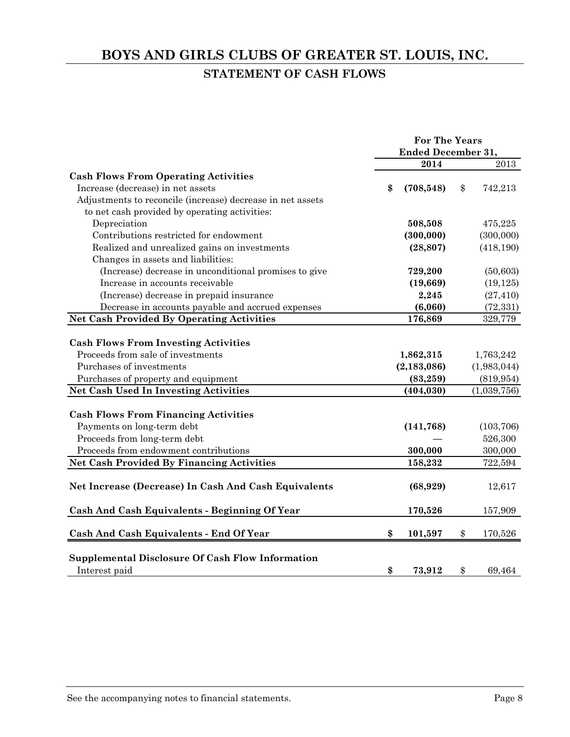# **BOYS AND GIRLS CLUBS OF GREATER ST. LOUIS, INC. STATEMENT OF CASH FLOWS**

|                                                            | <b>For The Years</b>      |               |
|------------------------------------------------------------|---------------------------|---------------|
|                                                            | <b>Ended December 31,</b> |               |
|                                                            | 2014                      | 2013          |
| <b>Cash Flows From Operating Activities</b>                |                           |               |
| Increase (decrease) in net assets                          | \$<br>(708, 548)          | \$<br>742,213 |
| Adjustments to reconcile (increase) decrease in net assets |                           |               |
| to net cash provided by operating activities:              |                           |               |
| Depreciation                                               | 508,508                   | 475,225       |
| Contributions restricted for endowment                     | (300,000)                 | (300,000)     |
| Realized and unrealized gains on investments               | (28, 807)                 | (418, 190)    |
| Changes in assets and liabilities:                         |                           |               |
| (Increase) decrease in unconditional promises to give      | 729,200                   | (50, 603)     |
| Increase in accounts receivable                            | (19,669)                  | (19, 125)     |
| (Increase) decrease in prepaid insurance                   | 2,245                     | (27, 410)     |
| Decrease in accounts payable and accrued expenses          | (6,060)                   | (72, 331)     |
| <b>Net Cash Provided By Operating Activities</b>           | 176,869                   | 329,779       |
|                                                            |                           |               |
| <b>Cash Flows From Investing Activities</b>                |                           |               |
| Proceeds from sale of investments                          | 1,862,315                 | 1,763,242     |
| Purchases of investments                                   | (2, 183, 086)             | (1,983,044)   |
| Purchases of property and equipment                        | (83, 259)                 | (819, 954)    |
| <b>Net Cash Used In Investing Activities</b>               | (404, 030)                | (1,039,756)   |
|                                                            |                           |               |
| <b>Cash Flows From Financing Activities</b>                |                           |               |
| Payments on long-term debt                                 | (141, 768)                | (103, 706)    |
| Proceeds from long-term debt                               |                           | 526,300       |
| Proceeds from endowment contributions                      | 300,000                   | 300,000       |
| <b>Net Cash Provided By Financing Activities</b>           | 158,232                   | 722,594       |
|                                                            |                           |               |
| Net Increase (Decrease) In Cash And Cash Equivalents       | (68, 929)                 | 12,617        |
| <b>Cash And Cash Equivalents - Beginning Of Year</b>       | 170,526                   | 157,909       |
| <b>Cash And Cash Equivalents - End Of Year</b>             | \$<br>101,597             | \$<br>170,526 |
|                                                            |                           |               |
| <b>Supplemental Disclosure Of Cash Flow Information</b>    |                           |               |
| Interest paid                                              | \$<br>73,912              | \$<br>69,464  |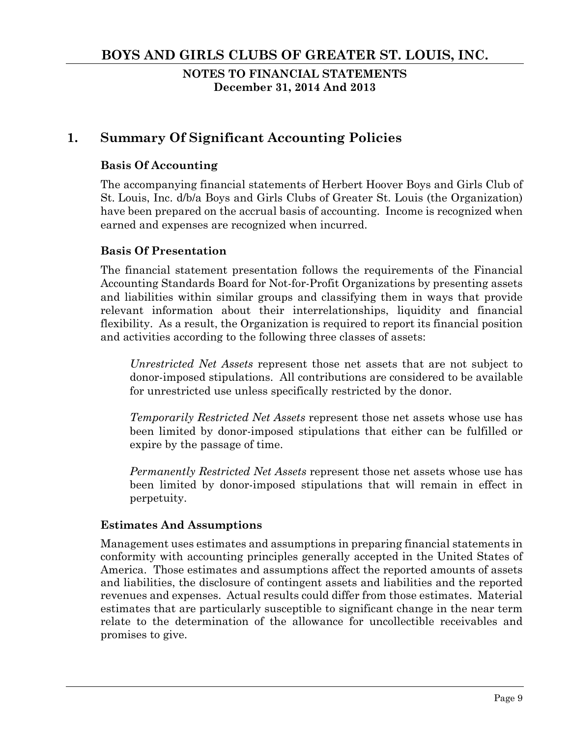**NOTES TO FINANCIAL STATEMENTS December 31, 2014 And 2013** 

# **1. Summary Of Significant Accounting Policies**

### **Basis Of Accounting**

The accompanying financial statements of Herbert Hoover Boys and Girls Club of St. Louis, Inc. d/b/a Boys and Girls Clubs of Greater St. Louis (the Organization) have been prepared on the accrual basis of accounting. Income is recognized when earned and expenses are recognized when incurred.

### **Basis Of Presentation**

The financial statement presentation follows the requirements of the Financial Accounting Standards Board for Not-for-Profit Organizations by presenting assets and liabilities within similar groups and classifying them in ways that provide relevant information about their interrelationships, liquidity and financial flexibility. As a result, the Organization is required to report its financial position and activities according to the following three classes of assets:

*Unrestricted Net Assets* represent those net assets that are not subject to donor-imposed stipulations. All contributions are considered to be available for unrestricted use unless specifically restricted by the donor.

*Temporarily Restricted Net Assets* represent those net assets whose use has been limited by donor-imposed stipulations that either can be fulfilled or expire by the passage of time.

*Permanently Restricted Net Assets* represent those net assets whose use has been limited by donor-imposed stipulations that will remain in effect in perpetuity.

### **Estimates And Assumptions**

Management uses estimates and assumptions in preparing financial statements in conformity with accounting principles generally accepted in the United States of America. Those estimates and assumptions affect the reported amounts of assets and liabilities, the disclosure of contingent assets and liabilities and the reported revenues and expenses. Actual results could differ from those estimates. Material estimates that are particularly susceptible to significant change in the near term relate to the determination of the allowance for uncollectible receivables and promises to give.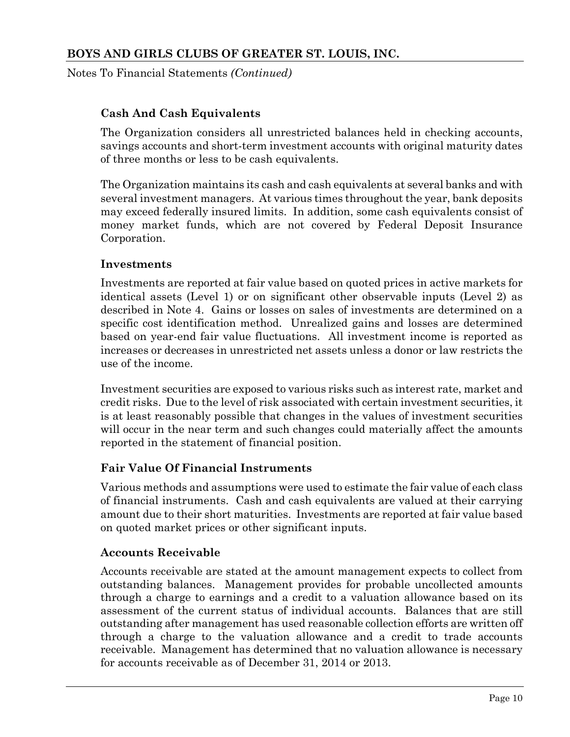Notes To Financial Statements *(Continued)*

### **Cash And Cash Equivalents**

The Organization considers all unrestricted balances held in checking accounts, savings accounts and short-term investment accounts with original maturity dates of three months or less to be cash equivalents.

The Organization maintains its cash and cash equivalents at several banks and with several investment managers. At various times throughout the year, bank deposits may exceed federally insured limits. In addition, some cash equivalents consist of money market funds, which are not covered by Federal Deposit Insurance Corporation.

#### **Investments**

Investments are reported at fair value based on quoted prices in active markets for identical assets (Level 1) or on significant other observable inputs (Level 2) as described in Note 4. Gains or losses on sales of investments are determined on a specific cost identification method. Unrealized gains and losses are determined based on year-end fair value fluctuations. All investment income is reported as increases or decreases in unrestricted net assets unless a donor or law restricts the use of the income.

Investment securities are exposed to various risks such as interest rate, market and credit risks. Due to the level of risk associated with certain investment securities, it is at least reasonably possible that changes in the values of investment securities will occur in the near term and such changes could materially affect the amounts reported in the statement of financial position.

### **Fair Value Of Financial Instruments**

Various methods and assumptions were used to estimate the fair value of each class of financial instruments. Cash and cash equivalents are valued at their carrying amount due to their short maturities. Investments are reported at fair value based on quoted market prices or other significant inputs.

### **Accounts Receivable**

Accounts receivable are stated at the amount management expects to collect from outstanding balances. Management provides for probable uncollected amounts through a charge to earnings and a credit to a valuation allowance based on its assessment of the current status of individual accounts. Balances that are still outstanding after management has used reasonable collection efforts are written off through a charge to the valuation allowance and a credit to trade accounts receivable. Management has determined that no valuation allowance is necessary for accounts receivable as of December 31, 2014 or 2013.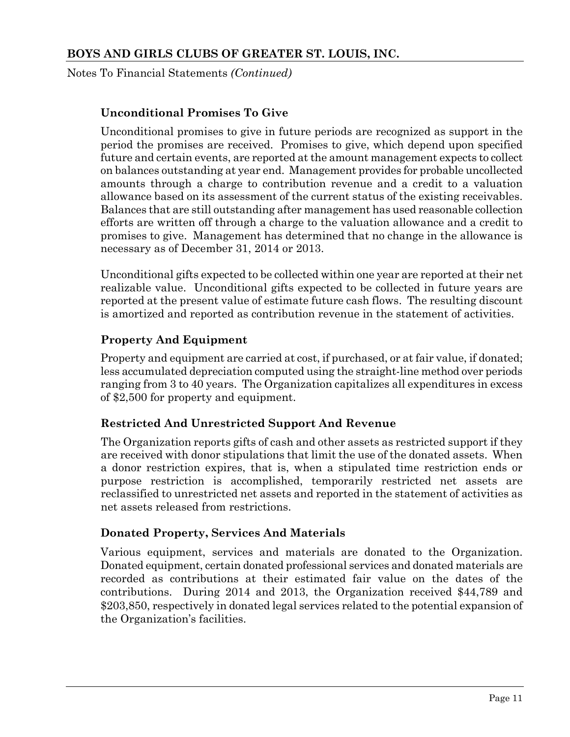Notes To Financial Statements *(Continued)*

# **Unconditional Promises To Give**

Unconditional promises to give in future periods are recognized as support in the period the promises are received. Promises to give, which depend upon specified future and certain events, are reported at the amount management expects to collect on balances outstanding at year end. Management provides for probable uncollected amounts through a charge to contribution revenue and a credit to a valuation allowance based on its assessment of the current status of the existing receivables. Balances that are still outstanding after management has used reasonable collection efforts are written off through a charge to the valuation allowance and a credit to promises to give. Management has determined that no change in the allowance is necessary as of December 31, 2014 or 2013.

Unconditional gifts expected to be collected within one year are reported at their net realizable value. Unconditional gifts expected to be collected in future years are reported at the present value of estimate future cash flows. The resulting discount is amortized and reported as contribution revenue in the statement of activities.

# **Property And Equipment**

Property and equipment are carried at cost, if purchased, or at fair value, if donated; less accumulated depreciation computed using the straight-line method over periods ranging from 3 to 40 years. The Organization capitalizes all expenditures in excess of \$2,500 for property and equipment.

# **Restricted And Unrestricted Support And Revenue**

The Organization reports gifts of cash and other assets as restricted support if they are received with donor stipulations that limit the use of the donated assets. When a donor restriction expires, that is, when a stipulated time restriction ends or purpose restriction is accomplished, temporarily restricted net assets are reclassified to unrestricted net assets and reported in the statement of activities as net assets released from restrictions.

### **Donated Property, Services And Materials**

Various equipment, services and materials are donated to the Organization. Donated equipment, certain donated professional services and donated materials are recorded as contributions at their estimated fair value on the dates of the contributions. During 2014 and 2013, the Organization received \$44,789 and \$203,850, respectively in donated legal services related to the potential expansion of the Organization's facilities.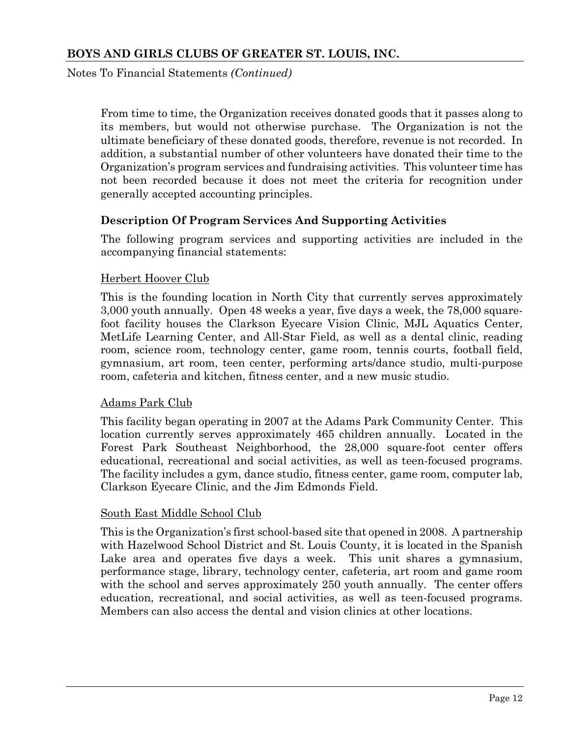Notes To Financial Statements *(Continued)*

From time to time, the Organization receives donated goods that it passes along to its members, but would not otherwise purchase. The Organization is not the ultimate beneficiary of these donated goods, therefore, revenue is not recorded. In addition, a substantial number of other volunteers have donated their time to the Organization's program services and fundraising activities. This volunteer time has not been recorded because it does not meet the criteria for recognition under generally accepted accounting principles.

### **Description Of Program Services And Supporting Activities**

The following program services and supporting activities are included in the accompanying financial statements:

#### Herbert Hoover Club

This is the founding location in North City that currently serves approximately 3,000 youth annually. Open 48 weeks a year, five days a week, the 78,000 squarefoot facility houses the Clarkson Eyecare Vision Clinic, MJL Aquatics Center, MetLife Learning Center, and All-Star Field, as well as a dental clinic, reading room, science room, technology center, game room, tennis courts, football field, gymnasium, art room, teen center, performing arts/dance studio, multi-purpose room, cafeteria and kitchen, fitness center, and a new music studio.

#### Adams Park Club

This facility began operating in 2007 at the Adams Park Community Center. This location currently serves approximately 465 children annually. Located in the Forest Park Southeast Neighborhood, the 28,000 square-foot center offers educational, recreational and social activities, as well as teen-focused programs. The facility includes a gym, dance studio, fitness center, game room, computer lab, Clarkson Eyecare Clinic, and the Jim Edmonds Field.

#### South East Middle School Club

This is the Organization's first school-based site that opened in 2008. A partnership with Hazelwood School District and St. Louis County, it is located in the Spanish Lake area and operates five days a week. This unit shares a gymnasium, performance stage, library, technology center, cafeteria, art room and game room with the school and serves approximately 250 youth annually. The center offers education, recreational, and social activities, as well as teen-focused programs. Members can also access the dental and vision clinics at other locations.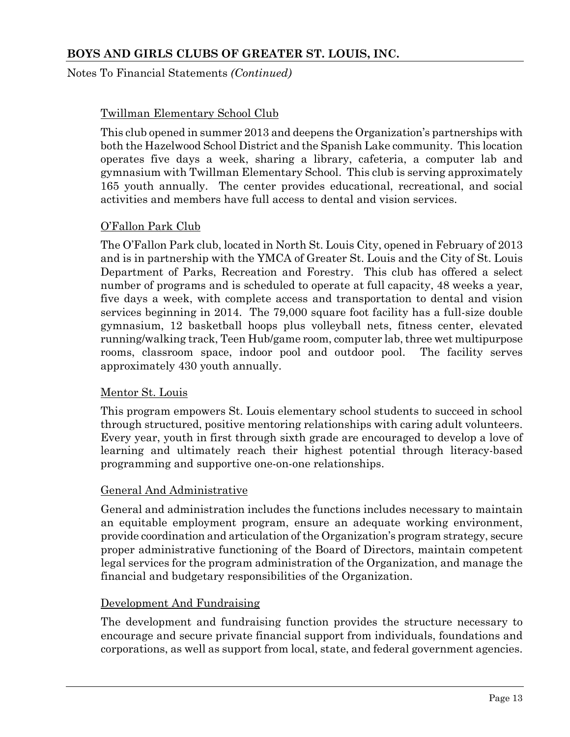Notes To Financial Statements *(Continued)*

### Twillman Elementary School Club

This club opened in summer 2013 and deepens the Organization's partnerships with both the Hazelwood School District and the Spanish Lake community. This location operates five days a week, sharing a library, cafeteria, a computer lab and gymnasium with Twillman Elementary School. This club is serving approximately 165 youth annually. The center provides educational, recreational, and social activities and members have full access to dental and vision services.

### O'Fallon Park Club

The O'Fallon Park club, located in North St. Louis City, opened in February of 2013 and is in partnership with the YMCA of Greater St. Louis and the City of St. Louis Department of Parks, Recreation and Forestry. This club has offered a select number of programs and is scheduled to operate at full capacity, 48 weeks a year, five days a week, with complete access and transportation to dental and vision services beginning in 2014. The 79,000 square foot facility has a full-size double gymnasium, 12 basketball hoops plus volleyball nets, fitness center, elevated running/walking track, Teen Hub/game room, computer lab, three wet multipurpose rooms, classroom space, indoor pool and outdoor pool. The facility serves approximately 430 youth annually.

### Mentor St. Louis

This program empowers St. Louis elementary school students to succeed in school through structured, positive mentoring relationships with caring adult volunteers. Every year, youth in first through sixth grade are encouraged to develop a love of learning and ultimately reach their highest potential through literacy-based programming and supportive one-on-one relationships.

### General And Administrative

General and administration includes the functions includes necessary to maintain an equitable employment program, ensure an adequate working environment, provide coordination and articulation of the Organization's program strategy, secure proper administrative functioning of the Board of Directors, maintain competent legal services for the program administration of the Organization, and manage the financial and budgetary responsibilities of the Organization.

#### Development And Fundraising

The development and fundraising function provides the structure necessary to encourage and secure private financial support from individuals, foundations and corporations, as well as support from local, state, and federal government agencies.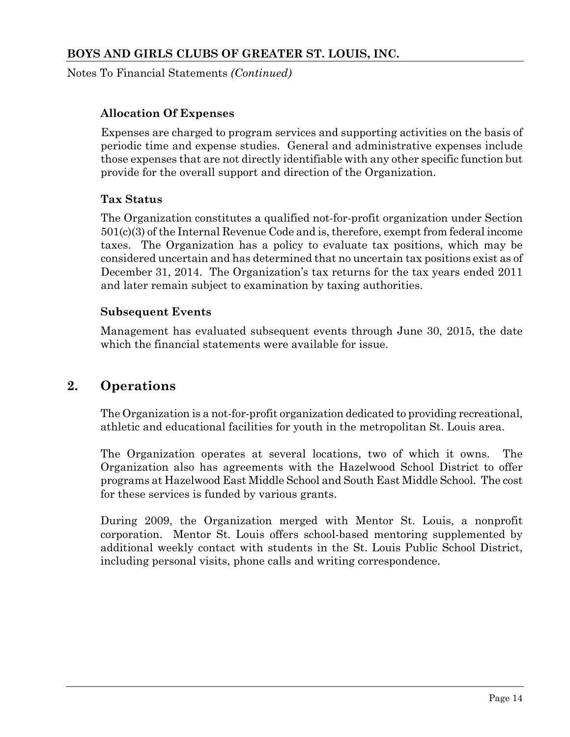Notes To Financial Statements *(Continued)*

### **Allocation Of Expenses**

Expenses are charged to program services and supporting activities on the basis of periodic time and expense studies. General and administrative expenses include those expenses that are not directly identifiable with any other specific function but provide for the overall support and direction of the Organization.

#### **Tax Status**

The Organization constitutes a qualified not-for-profit organization under Section 501(c)(3) of the Internal Revenue Code and is, therefore, exempt from federal income taxes. The Organization has a policy to evaluate tax positions, which may be considered uncertain and has determined that no uncertain tax positions exist as of December 31, 2014. The Organization's tax returns for the tax years ended 2011 and later remain subject to examination by taxing authorities.

#### **Subsequent Events**

Management has evaluated subsequent events through June 30, 2015, the date which the financial statements were available for issue.

# **2. Operations**

The Organization is a not-for-profit organization dedicated to providing recreational, athletic and educational facilities for youth in the metropolitan St. Louis area.

The Organization operates at several locations, two of which it owns. The Organization also has agreements with the Hazelwood School District to offer programs at Hazelwood East Middle School and South East Middle School. The cost for these services is funded by various grants.

During 2009, the Organization merged with Mentor St. Louis, a nonprofit corporation. Mentor St. Louis offers school-based mentoring supplemented by additional weekly contact with students in the St. Louis Public School District, including personal visits, phone calls and writing correspondence.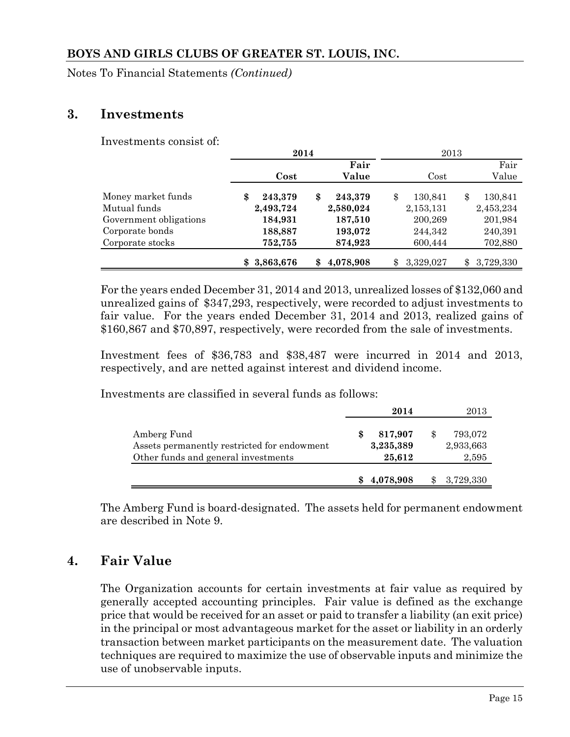Notes To Financial Statements *(Continued)*

# **3. Investments**

Investments consist of:

|                        | 2014          |                 | 2013            |               |  |  |
|------------------------|---------------|-----------------|-----------------|---------------|--|--|
|                        |               | Fair            |                 | Fair          |  |  |
|                        | Cost          | Value           | Cost            | Value         |  |  |
| Money market funds     | 243,379<br>\$ | \$<br>243,379   | \$<br>130,841   | 130,841<br>\$ |  |  |
| Mutual funds           | 2,493,724     | 2,580,024       | 2,153,131       | 2,453,234     |  |  |
| Government obligations | 184,931       | 187,510         | 200,269         | 201,984       |  |  |
| Corporate bonds        | 188,887       | 193,072         | 244,342         | 240,391       |  |  |
| Corporate stocks       | 752,755       | 874,923         | 600,444         | 702,880       |  |  |
|                        | 3,863,676     | 4,078,908<br>\$ | 3,329,027<br>\$ | 3,729,330     |  |  |

For the years ended December 31, 2014 and 2013, unrealized losses of \$132,060 and unrealized gains of \$347,293, respectively, were recorded to adjust investments to fair value. For the years ended December 31, 2014 and 2013, realized gains of \$160,867 and \$70,897, respectively, were recorded from the sale of investments.

Investment fees of \$36,783 and \$38,487 were incurred in 2014 and 2013, respectively, and are netted against interest and dividend income.

Investments are classified in several funds as follows:

|                                                                                                   | 2014                           | 2013                          |
|---------------------------------------------------------------------------------------------------|--------------------------------|-------------------------------|
| Amberg Fund<br>Assets permanently restricted for endowment<br>Other funds and general investments | 817,907<br>3,235,389<br>25.612 | 793,072<br>2,933,663<br>2,595 |
|                                                                                                   | 4,078,908                      | 3,729,330                     |

The Amberg Fund is board-designated. The assets held for permanent endowment are described in Note 9.

# **4. Fair Value**

The Organization accounts for certain investments at fair value as required by generally accepted accounting principles. Fair value is defined as the exchange price that would be received for an asset or paid to transfer a liability (an exit price) in the principal or most advantageous market for the asset or liability in an orderly transaction between market participants on the measurement date. The valuation techniques are required to maximize the use of observable inputs and minimize the use of unobservable inputs.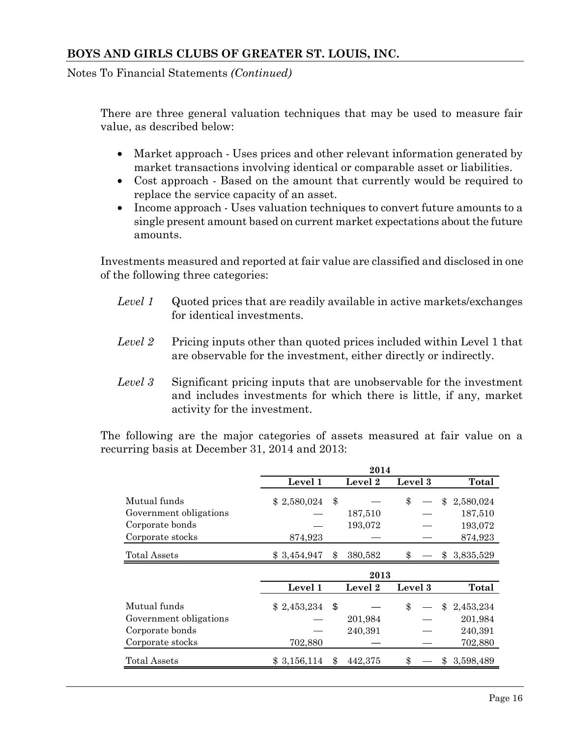Notes To Financial Statements *(Continued)*

There are three general valuation techniques that may be used to measure fair value, as described below:

- Market approach Uses prices and other relevant information generated by market transactions involving identical or comparable asset or liabilities.
- Cost approach Based on the amount that currently would be required to replace the service capacity of an asset.
- Income approach Uses valuation techniques to convert future amounts to a single present amount based on current market expectations about the future amounts.

Investments measured and reported at fair value are classified and disclosed in one of the following three categories:

- *Level 1* Quoted prices that are readily available in active markets/exchanges for identical investments.
- *Level 2* Pricing inputs other than quoted prices included within Level 1 that are observable for the investment, either directly or indirectly.
- *Level 3* Significant pricing inputs that are unobservable for the investment and includes investments for which there is little, if any, market activity for the investment.

The following are the major categories of assets measured at fair value on a recurring basis at December 31, 2014 and 2013:

|                        |             |     | 2014    |         |  |     |           |
|------------------------|-------------|-----|---------|---------|--|-----|-----------|
|                        | Level 1     |     | Level 2 | Level 3 |  |     | Total     |
| Mutual funds           | \$2,580,024 | \$  |         | \$      |  | \$  | 2,580,024 |
| Government obligations |             |     | 187,510 |         |  |     | 187,510   |
| Corporate bonds        |             |     | 193,072 |         |  |     | 193,072   |
| Corporate stocks       | 874,923     |     |         |         |  |     | 874,923   |
| <b>Total Assets</b>    | \$3,454,947 | \$  | 380,582 |         |  | \$. | 3,835,529 |
|                        | 2013        |     |         |         |  |     |           |
|                        | Level 1     |     | Level 2 | Level 3 |  |     | Total     |
| Mutual funds           | \$2,453,234 | -\$ |         | \$      |  | \$  | 2,453,234 |
| Government obligations |             |     | 201,984 |         |  |     | 201,984   |
| Corporate bonds        |             |     | 240,391 |         |  |     | 240,391   |
| Corporate stocks       | 702,880     |     |         |         |  |     | 702,880   |
|                        |             |     |         |         |  |     |           |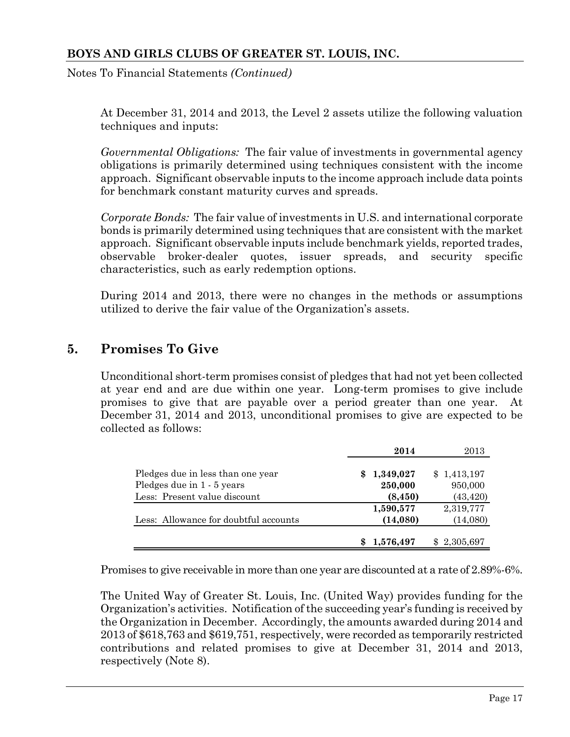Notes To Financial Statements *(Continued)*

At December 31, 2014 and 2013, the Level 2 assets utilize the following valuation techniques and inputs:

*Governmental Obligations:* The fair value of investments in governmental agency obligations is primarily determined using techniques consistent with the income approach. Significant observable inputs to the income approach include data points for benchmark constant maturity curves and spreads.

*Corporate Bonds:* The fair value of investments in U.S. and international corporate bonds is primarily determined using techniques that are consistent with the market approach. Significant observable inputs include benchmark yields, reported trades, observable broker-dealer quotes, issuer spreads, and security specific characteristics, such as early redemption options.

During 2014 and 2013, there were no changes in the methods or assumptions utilized to derive the fair value of the Organization's assets.

# **5. Promises To Give**

Unconditional short-term promises consist of pledges that had not yet been collected at year end and are due within one year. Long-term promises to give include promises to give that are payable over a period greater than one year. At December 31, 2014 and 2013, unconditional promises to give are expected to be collected as follows:

|                                       |     | 2014      | 2013        |
|---------------------------------------|-----|-----------|-------------|
| Pledges due in less than one year     | SS. | 1,349,027 | \$1,413,197 |
| Pledges due in 1 - 5 years            |     | 250,000   | 950,000     |
| Less: Present value discount          |     | (8, 450)  | (43, 420)   |
|                                       |     | 1,590,577 | 2,319,777   |
| Less: Allowance for doubtful accounts |     | (14,080)  | (14,080)    |
|                                       |     | 1,576,497 | \$2,305,697 |

Promises to give receivable in more than one year are discounted at a rate of 2.89%-6%.

The United Way of Greater St. Louis, Inc. (United Way) provides funding for the Organization's activities. Notification of the succeeding year's funding is received by the Organization in December. Accordingly, the amounts awarded during 2014 and 2013 of \$618,763 and \$619,751, respectively, were recorded as temporarily restricted contributions and related promises to give at December 31, 2014 and 2013, respectively (Note 8).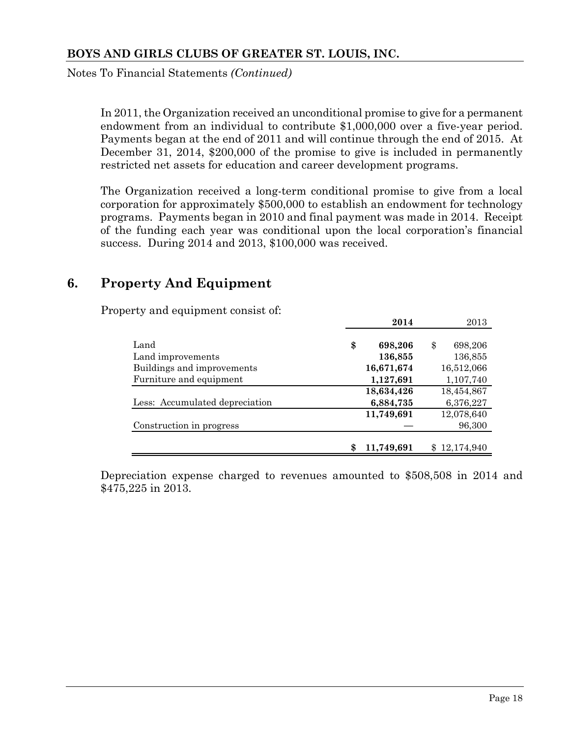Notes To Financial Statements *(Continued)*

In 2011, the Organization received an unconditional promise to give for a permanent endowment from an individual to contribute \$1,000,000 over a five-year period. Payments began at the end of 2011 and will continue through the end of 2015. At December 31, 2014, \$200,000 of the promise to give is included in permanently restricted net assets for education and career development programs.

The Organization received a long-term conditional promise to give from a local corporation for approximately \$500,000 to establish an endowment for technology programs. Payments began in 2010 and final payment was made in 2014. Receipt of the funding each year was conditional upon the local corporation's financial success. During 2014 and 2013, \$100,000 was received.

# **6. Property And Equipment**

Property and equipment consist of:

|                                | 2014             | 2013          |
|--------------------------------|------------------|---------------|
|                                |                  |               |
| Land                           | \$<br>698,206    | \$<br>698,206 |
| Land improvements              | 136,855          | 136,855       |
| Buildings and improvements     | 16,671,674       | 16,512,066    |
| Furniture and equipment        | 1,127,691        | 1,107,740     |
|                                | 18,634,426       | 18,454,867    |
| Less: Accumulated depreciation | 6,884,735        | 6,376,227     |
|                                | 11,749,691       | 12,078,640    |
| Construction in progress       |                  | 96,300        |
|                                |                  |               |
|                                | \$<br>11,749,691 | \$12,174,940  |

Depreciation expense charged to revenues amounted to \$508,508 in 2014 and \$475,225 in 2013.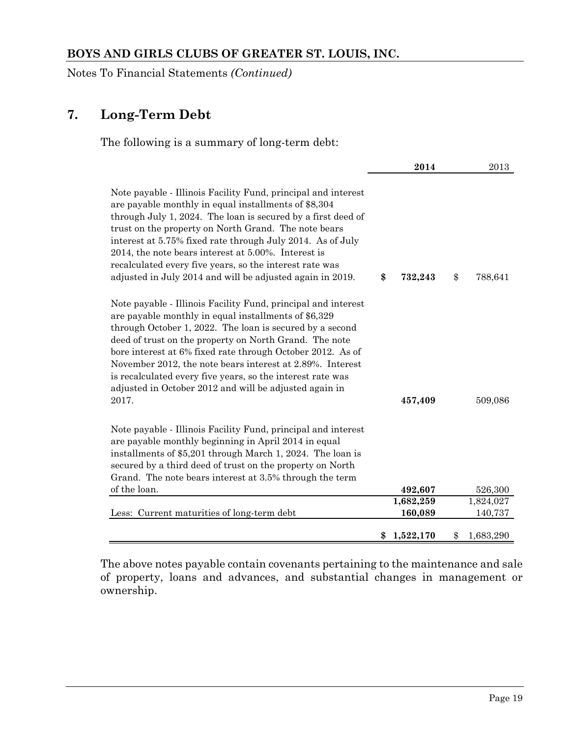Notes To Financial Statements *(Continued)*

# **7. Long-Term Debt**

The following is a summary of long-term debt:

|                                                                                                                                                                                                                                                                                                                                                                                                                                                                                                         | 2014            | 2013            |
|---------------------------------------------------------------------------------------------------------------------------------------------------------------------------------------------------------------------------------------------------------------------------------------------------------------------------------------------------------------------------------------------------------------------------------------------------------------------------------------------------------|-----------------|-----------------|
| Note payable - Illinois Facility Fund, principal and interest<br>are payable monthly in equal installments of \$8,304<br>through July 1, 2024. The loan is secured by a first deed of<br>trust on the property on North Grand. The note bears<br>interest at 5.75% fixed rate through July 2014. As of July<br>2014, the note bears interest at 5.00%. Interest is<br>recalculated every five years, so the interest rate was<br>adjusted in July 2014 and will be adjusted again in 2019.              | \$<br>732,243   | \$<br>788,641   |
| Note payable - Illinois Facility Fund, principal and interest<br>are payable monthly in equal installments of \$6,329<br>through October 1, 2022. The loan is secured by a second<br>deed of trust on the property on North Grand. The note<br>bore interest at 6% fixed rate through October 2012. As of<br>November 2012, the note bears interest at 2.89%. Interest<br>is recalculated every five years, so the interest rate was<br>adjusted in October 2012 and will be adjusted again in<br>2017. | 457,409         | 509,086         |
| Note payable - Illinois Facility Fund, principal and interest<br>are payable monthly beginning in April 2014 in equal<br>installments of \$5,201 through March 1, 2024. The loan is<br>secured by a third deed of trust on the property on North<br>Grand. The note bears interest at 3.5% through the term<br>of the loan.                                                                                                                                                                             | 492,607         | 526,300         |
|                                                                                                                                                                                                                                                                                                                                                                                                                                                                                                         | 1,682,259       | 1,824,027       |
| Less: Current maturities of long-term debt                                                                                                                                                                                                                                                                                                                                                                                                                                                              | 160,089         | 140,737         |
|                                                                                                                                                                                                                                                                                                                                                                                                                                                                                                         | \$<br>1,522,170 | \$<br>1,683,290 |

The above notes payable contain covenants pertaining to the maintenance and sale of property, loans and advances, and substantial changes in management or ownership.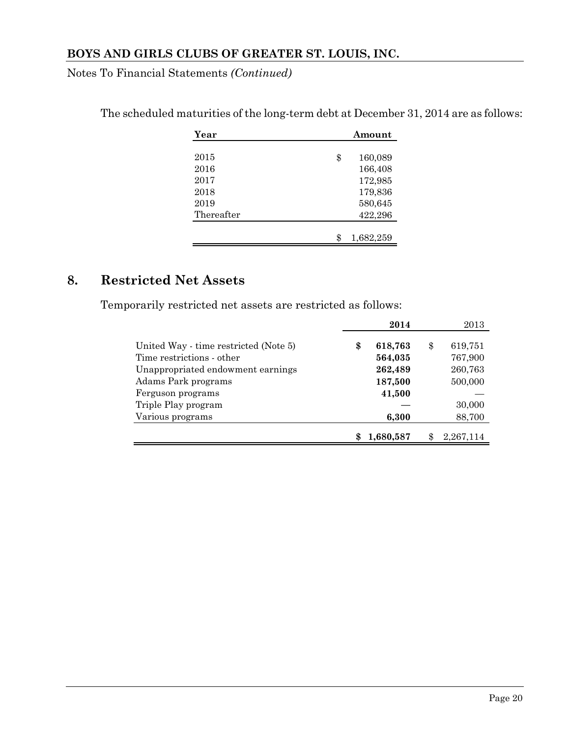Notes To Financial Statements *(Continued)*

| Year       | Amount          |
|------------|-----------------|
|            |                 |
| 2015       | \$<br>160,089   |
| 2016       | 166,408         |
| 2017       | 172,985         |
| 2018       | 179,836         |
| 2019       | 580,645         |
| Thereafter | 422,296         |
|            |                 |
|            | \$<br>1,682,259 |

The scheduled maturities of the long-term debt at December 31, 2014 are as follows:

# **8. Restricted Net Assets**

Temporarily restricted net assets are restricted as follows:

|                                                                               | 2014                         | 2013                     |
|-------------------------------------------------------------------------------|------------------------------|--------------------------|
| United Way - time restricted (Note 5)<br>Time restrictions - other            | \$<br>618,763<br>564,035     | \$<br>619,751<br>767,900 |
| Unappropriated endowment earnings<br>Adams Park programs<br>Ferguson programs | 262,489<br>187,500<br>41,500 | 260,763<br>500,000       |
| Triple Play program<br>Various programs                                       | 6,300                        | 30,000<br>88,700         |
|                                                                               | 1,680,587                    | 2,267,114                |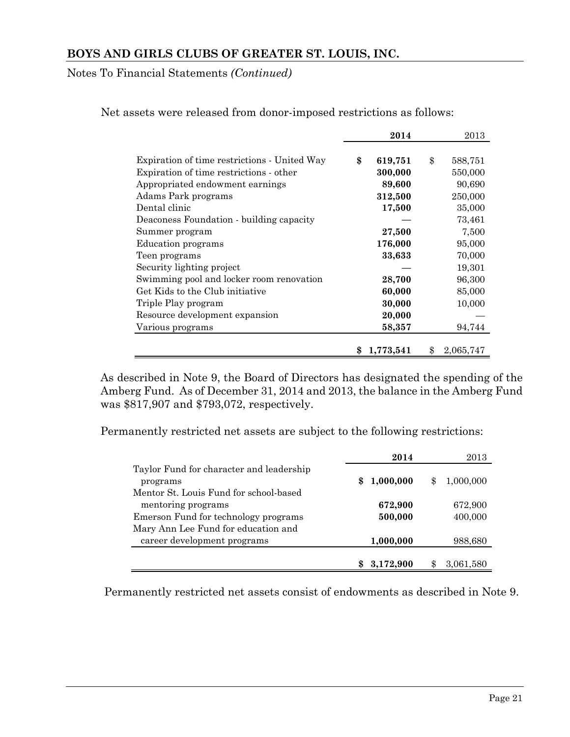Notes To Financial Statements *(Continued)*

|                                              | 2014            | 2013            |
|----------------------------------------------|-----------------|-----------------|
|                                              |                 |                 |
| Expiration of time restrictions - United Way | \$<br>619,751   | \$<br>588,751   |
| Expiration of time restrictions - other      | 300,000         | 550,000         |
| Appropriated endowment earnings              | 89,600          | 90,690          |
| Adams Park programs                          | 312,500         | 250,000         |
| Dental clinic                                | 17,500          | 35,000          |
| Deaconess Foundation - building capacity     |                 | 73,461          |
| Summer program                               | 27,500          | 7,500           |
| Education programs                           | 176,000         | 95,000          |
| Teen programs                                | 33,633          | 70,000          |
| Security lighting project                    |                 | 19,301          |
| Swimming pool and locker room renovation     | 28,700          | 96,300          |
| Get Kids to the Club initiative              | 60,000          | 85,000          |
| Triple Play program                          | 30,000          | 10,000          |
| Resource development expansion               | 20,000          |                 |
| Various programs                             | 58,357          | 94,744          |
|                                              |                 |                 |
|                                              | \$<br>1,773,541 | \$<br>2,065,747 |

Net assets were released from donor-imposed restrictions as follows:

As described in Note 9, the Board of Directors has designated the spending of the Amberg Fund. As of December 31, 2014 and 2013, the balance in the Amberg Fund was \$817,907 and \$793,072, respectively.

Permanently restricted net assets are subject to the following restrictions:

|                                          | 2014            | 2013            |
|------------------------------------------|-----------------|-----------------|
| Taylor Fund for character and leadership |                 |                 |
| programs                                 | \$<br>1,000,000 | \$<br>1,000,000 |
| Mentor St. Louis Fund for school-based   |                 |                 |
| mentoring programs                       | 672,900         | 672,900         |
| Emerson Fund for technology programs     | 500,000         | 400,000         |
| Mary Ann Lee Fund for education and      |                 |                 |
| career development programs              | 1,000,000       | 988,680         |
|                                          |                 |                 |
|                                          | 3,172,900       | 3,061,580       |

Permanently restricted net assets consist of endowments as described in Note 9.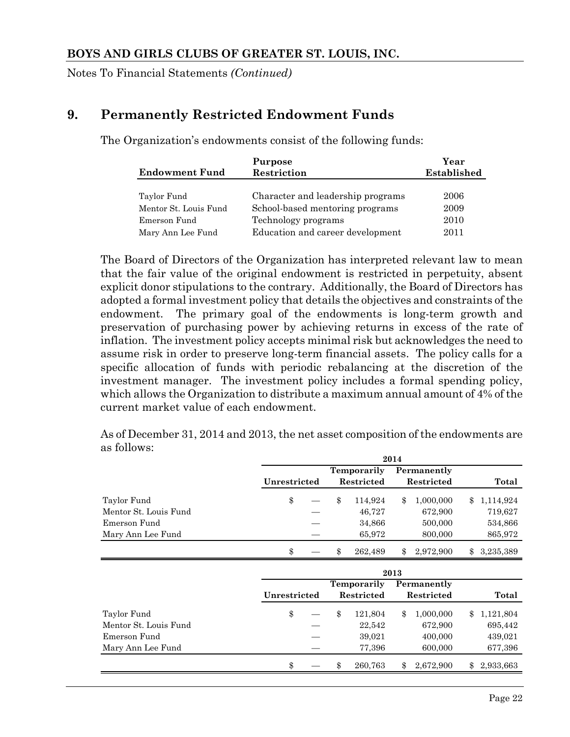Notes To Financial Statements *(Continued)*

# **9. Permanently Restricted Endowment Funds**

The Organization's endowments consist of the following funds:

| <b>Endowment Fund</b> | Purpose<br>Restriction            | Year<br><b>Established</b> |
|-----------------------|-----------------------------------|----------------------------|
|                       |                                   |                            |
| Taylor Fund           | Character and leadership programs | 2006                       |
| Mentor St. Louis Fund | School-based mentoring programs   | 2009                       |
| Emerson Fund          | Technology programs               | 2010                       |
| Mary Ann Lee Fund     | Education and career development  | 2011                       |

The Board of Directors of the Organization has interpreted relevant law to mean that the fair value of the original endowment is restricted in perpetuity, absent explicit donor stipulations to the contrary. Additionally, the Board of Directors has adopted a formal investment policy that details the objectives and constraints of the endowment. The primary goal of the endowments is long-term growth and preservation of purchasing power by achieving returns in excess of the rate of inflation. The investment policy accepts minimal risk but acknowledges the need to assume risk in order to preserve long-term financial assets. The policy calls for a specific allocation of funds with periodic rebalancing at the discretion of the investment manager. The investment policy includes a formal spending policy, which allows the Organization to distribute a maximum annual amount of 4% of the current market value of each endowment.

As of December 31, 2014 and 2013, the net asset composition of the endowments are as follows:

|                       | 2014         |    |                    |    |             |            |             |
|-----------------------|--------------|----|--------------------|----|-------------|------------|-------------|
|                       |              |    | <b>Temporarily</b> |    | Permanently |            |             |
|                       | Unrestricted |    | Restricted         |    |             | Restricted |             |
| Taylor Fund           | \$           | \$ | 114,924            | \$ | 1,000,000   |            | \$1,114,924 |
| Mentor St. Louis Fund |              |    | 46,727             |    | 672,900     |            | 719,627     |
| Emerson Fund          |              |    | 34,866             |    | 500,000     |            | 534,866     |
| Mary Ann Lee Fund     |              |    | 65,972             |    | 800,000     |            | 865,972     |
|                       | \$           | \$ | 262,489            | \$ | 2,972,900   | \$         | 3,235,389   |
|                       | 9019         |    |                    |    |             |            |             |

|                       | 2013         |  |            |             |            |             |       |           |
|-----------------------|--------------|--|------------|-------------|------------|-------------|-------|-----------|
|                       |              |  |            | Temporarily |            | Permanently |       |           |
|                       | Unrestricted |  | Restricted |             | Restricted |             | Total |           |
| Taylor Fund           | \$           |  | \$         | 121,804     | \$         | 1,000,000   | \$.   | 1,121,804 |
| Mentor St. Louis Fund |              |  |            | 22,542      |            | 672,900     |       | 695,442   |
| Emerson Fund          |              |  |            | 39,021      |            | 400,000     |       | 439,021   |
| Mary Ann Lee Fund     |              |  |            | 77,396      |            | 600,000     |       | 677,396   |
|                       | \$           |  | \$         | 260.763     | \$         | 2,672,900   | \$    | 2,933,663 |
|                       |              |  |            |             |            |             |       |           |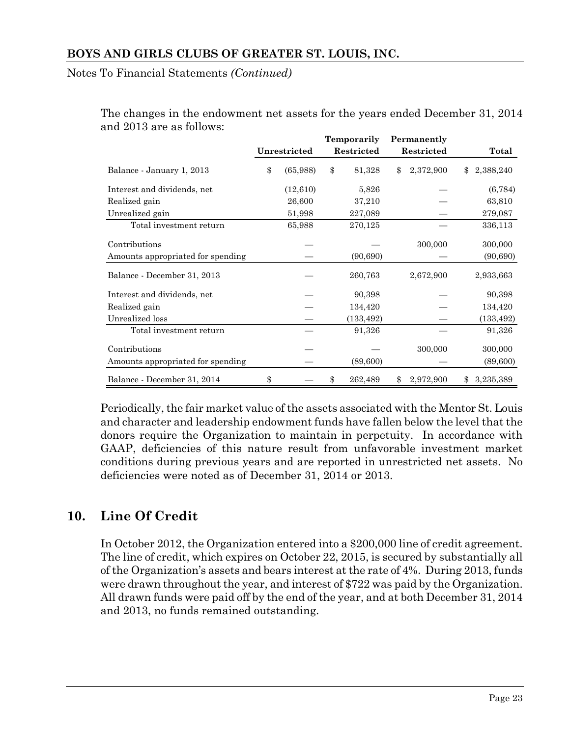Notes To Financial Statements *(Continued)*

|                                   |                | Temporarily |            | Permanently |            |                 |
|-----------------------------------|----------------|-------------|------------|-------------|------------|-----------------|
|                                   | Unrestricted   |             | Restricted |             | Restricted | Total           |
| Balance - January 1, 2013         | \$<br>(65,988) | \$          | 81,328     | \$          | 2,372,900  | \$<br>2,388,240 |
| Interest and dividends, net       | (12,610)       |             | 5,826      |             |            | (6, 784)        |
| Realized gain                     | 26,600         |             | 37,210     |             |            | 63,810          |
| Unrealized gain                   | 51,998         |             | 227,089    |             |            | 279,087         |
| Total investment return           | 65,988         |             | 270,125    |             |            | 336,113         |
| Contributions                     |                |             |            |             | 300,000    | 300,000         |
| Amounts appropriated for spending |                |             | (90, 690)  |             |            | (90, 690)       |
| Balance - December 31, 2013       |                |             | 260,763    |             | 2,672,900  | 2,933,663       |
| Interest and dividends, net       |                |             | 90,398     |             |            | 90,398          |
| Realized gain                     |                |             | 134,420    |             |            | 134,420         |
| Unrealized loss                   |                |             | (133, 492) |             |            | (133, 492)      |
| Total investment return           |                |             | 91,326     |             |            | 91,326          |
| Contributions                     |                |             |            |             | 300,000    | 300,000         |
| Amounts appropriated for spending |                |             | (89,600)   |             |            | (89,600)        |
| Balance - December 31, 2014       | \$             | \$          | 262,489    | \$          | 2,972,900  | \$<br>3,235,389 |

The changes in the endowment net assets for the years ended December 31, 2014 and 2013 are as follows:

Periodically, the fair market value of the assets associated with the Mentor St. Louis and character and leadership endowment funds have fallen below the level that the donors require the Organization to maintain in perpetuity. In accordance with GAAP, deficiencies of this nature result from unfavorable investment market conditions during previous years and are reported in unrestricted net assets. No deficiencies were noted as of December 31, 2014 or 2013.

# **10. Line Of Credit**

In October 2012, the Organization entered into a \$200,000 line of credit agreement. The line of credit, which expires on October 22, 2015, is secured by substantially all of the Organization's assets and bears interest at the rate of 4%. During 2013, funds were drawn throughout the year, and interest of \$722 was paid by the Organization. All drawn funds were paid off by the end of the year, and at both December 31, 2014 and 2013, no funds remained outstanding.